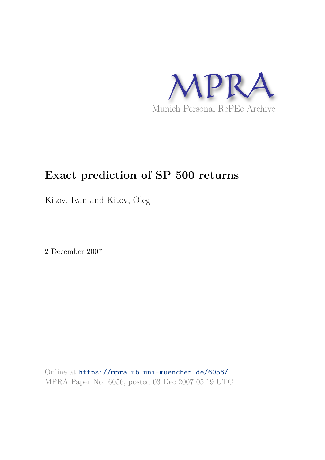

# **Exact prediction of SP 500 returns**

Kitov, Ivan and Kitov, Oleg

2 December 2007

Online at https://mpra.ub.uni-muenchen.de/6056/ MPRA Paper No. 6056, posted 03 Dec 2007 05:19 UTC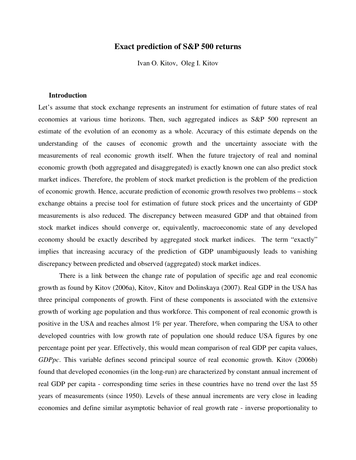# **Exact prediction of S&P 500 returns**

Ivan O. Kitov, Oleg I. Kitov

#### **Introduction**

Let's assume that stock exchange represents an instrument for estimation of future states of real economies at various time horizons. Then, such aggregated indices as S&P 500 represent an estimate of the evolution of an economy as a whole. Accuracy of this estimate depends on the understanding of the causes of economic growth and the uncertainty associate with the measurements of real economic growth itself. When the future trajectory of real and nominal economic growth (both aggregated and disaggregated) is exactly known one can also predict stock market indices. Therefore, the problem of stock market prediction is the problem of the prediction of economic growth. Hence, accurate prediction of economic growth resolves two problems – stock exchange obtains a precise tool for estimation of future stock prices and the uncertainty of GDP measurements is also reduced. The discrepancy between measured GDP and that obtained from stock market indices should converge or, equivalently, macroeconomic state of any developed economy should be exactly described by aggregated stock market indices. The term "exactly" implies that increasing accuracy of the prediction of GDP unambiguously leads to vanishing discrepancy between predicted and observed (aggregated) stock market indices.

There is a link between the change rate of population of specific age and real economic growth as found by Kitov (2006a), Kitov, Kitov and Dolinskaya (2007). Real GDP in the USA has three principal components of growth. First of these components is associated with the extensive growth of working age population and thus workforce. This component of real economic growth is positive in the USA and reaches almost 1% per year. Therefore, when comparing the USA to other developed countries with low growth rate of population one should reduce USA figures by one percentage point per year. Effectively, this would mean comparison of real GDP per capita values, *GDPpc*. This variable defines second principal source of real economic growth. Kitov (2006b) found that developed economies (in the long-run) are characterized by constant annual increment of real GDP per capita - corresponding time series in these countries have no trend over the last 55 years of measurements (since 1950). Levels of these annual increments are very close in leading economies and define similar asymptotic behavior of real growth rate - inverse proportionality to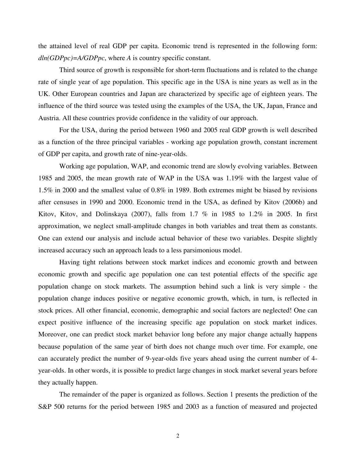the attained level of real GDP per capita. Economic trend is represented in the following form: *dln(GDPpc)=A/GDPpc*, where *A* is country specific constant.

Third source of growth is responsible for short-term fluctuations and is related to the change rate of single year of age population. This specific age in the USA is nine years as well as in the UK. Other European countries and Japan are characterized by specific age of eighteen years. The influence of the third source was tested using the examples of the USA, the UK, Japan, France and Austria. All these countries provide confidence in the validity of our approach.

For the USA, during the period between 1960 and 2005 real GDP growth is well described as a function of the three principal variables - working age population growth, constant increment of GDP per capita, and growth rate of nine-year-olds.

Working age population, WAP, and economic trend are slowly evolving variables. Between 1985 and 2005, the mean growth rate of WAP in the USA was 1.19% with the largest value of 1.5% in 2000 and the smallest value of 0.8% in 1989. Both extremes might be biased by revisions after censuses in 1990 and 2000. Economic trend in the USA, as defined by Kitov (2006b) and Kitov, Kitov, and Dolinskaya (2007), falls from 1.7 % in 1985 to 1.2% in 2005. In first approximation, we neglect small-amplitude changes in both variables and treat them as constants. One can extend our analysis and include actual behavior of these two variables. Despite slightly increased accuracy such an approach leads to a less parsimonious model.

 Having tight relations between stock market indices and economic growth and between economic growth and specific age population one can test potential effects of the specific age population change on stock markets. The assumption behind such a link is very simple - the population change induces positive or negative economic growth, which, in turn, is reflected in stock prices. All other financial, economic, demographic and social factors are neglected! One can expect positive influence of the increasing specific age population on stock market indices. Moreover, one can predict stock market behavior long before any major change actually happens because population of the same year of birth does not change much over time. For example, one can accurately predict the number of 9-year-olds five years ahead using the current number of 4 year-olds. In other words, it is possible to predict large changes in stock market several years before they actually happen.

The remainder of the paper is organized as follows. Section 1 presents the prediction of the S&P 500 returns for the period between 1985 and 2003 as a function of measured and projected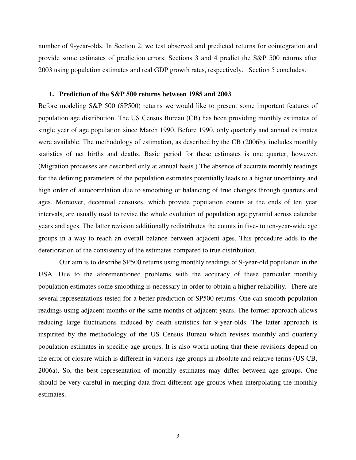number of 9-year-olds. In Section 2, we test observed and predicted returns for cointegration and provide some estimates of prediction errors. Sections 3 and 4 predict the S&P 500 returns after 2003 using population estimates and real GDP growth rates, respectively. Section 5 concludes.

## **1. Prediction of the S&P 500 returns between 1985 and 2003**

Before modeling S&P 500 (SP500) returns we would like to present some important features of population age distribution. The US Census Bureau (CB) has been providing monthly estimates of single year of age population since March 1990. Before 1990, only quarterly and annual estimates were available. The methodology of estimation, as described by the CB (2006b), includes monthly statistics of net births and deaths. Basic period for these estimates is one quarter, however. (Migration processes are described only at annual basis.) The absence of accurate monthly readings for the defining parameters of the population estimates potentially leads to a higher uncertainty and high order of autocorrelation due to smoothing or balancing of true changes through quarters and ages. Moreover, decennial censuses, which provide population counts at the ends of ten year intervals, are usually used to revise the whole evolution of population age pyramid across calendar years and ages. The latter revision additionally redistributes the counts in five- to ten-year-wide age groups in a way to reach an overall balance between adjacent ages. This procedure adds to the deterioration of the consistency of the estimates compared to true distribution.

Our aim is to describe SP500 returns using monthly readings of 9-year-old population in the USA. Due to the aforementioned problems with the accuracy of these particular monthly population estimates some smoothing is necessary in order to obtain a higher reliability. There are several representations tested for a better prediction of SP500 returns. One can smooth population readings using adjacent months or the same months of adjacent years. The former approach allows reducing large fluctuations induced by death statistics for 9-year-olds. The latter approach is inspirited by the methodology of the US Census Bureau which revises monthly and quarterly population estimates in specific age groups. It is also worth noting that these revisions depend on the error of closure which is different in various age groups in absolute and relative terms (US CB, 2006a). So, the best representation of monthly estimates may differ between age groups. One should be very careful in merging data from different age groups when interpolating the monthly estimates.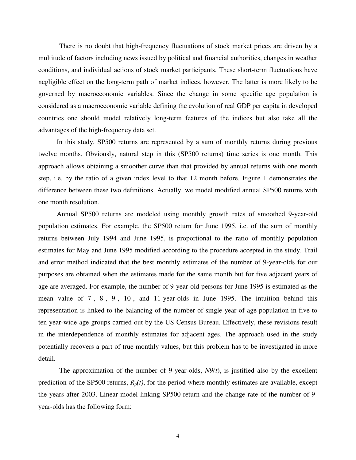There is no doubt that high-frequency fluctuations of stock market prices are driven by a multitude of factors including news issued by political and financial authorities, changes in weather conditions, and individual actions of stock market participants. These short-term fluctuations have negligible effect on the long-term path of market indices, however. The latter is more likely to be governed by macroeconomic variables. Since the change in some specific age population is considered as a macroeconomic variable defining the evolution of real GDP per capita in developed countries one should model relatively long-term features of the indices but also take all the advantages of the high-frequency data set.

In this study, SP500 returns are represented by a sum of monthly returns during previous twelve months. Obviously, natural step in this (SP500 returns) time series is one month. This approach allows obtaining a smoother curve than that provided by annual returns with one month step, i.e. by the ratio of a given index level to that 12 month before. Figure 1 demonstrates the difference between these two definitions. Actually, we model modified annual SP500 returns with one month resolution.

Annual SP500 returns are modeled using monthly growth rates of smoothed 9-year-old population estimates. For example, the SP500 return for June 1995, i.e. of the sum of monthly returns between July 1994 and June 1995, is proportional to the ratio of monthly population estimates for May and June 1995 modified according to the procedure accepted in the study. Trail and error method indicated that the best monthly estimates of the number of 9-year-olds for our purposes are obtained when the estimates made for the same month but for five adjacent years of age are averaged. For example, the number of 9-year-old persons for June 1995 is estimated as the mean value of 7-, 8-, 9-, 10-, and 11-year-olds in June 1995. The intuition behind this representation is linked to the balancing of the number of single year of age population in five to ten year-wide age groups carried out by the US Census Bureau. Effectively, these revisions result in the interdependence of monthly estimates for adjacent ages. The approach used in the study potentially recovers a part of true monthly values, but this problem has to be investigated in more detail.

The approximation of the number of 9-year-olds, *N9(t*), is justified also by the excellent prediction of the SP500 returns,  $R_p(t)$ , for the period where monthly estimates are available, except the years after 2003. Linear model linking SP500 return and the change rate of the number of 9 year-olds has the following form: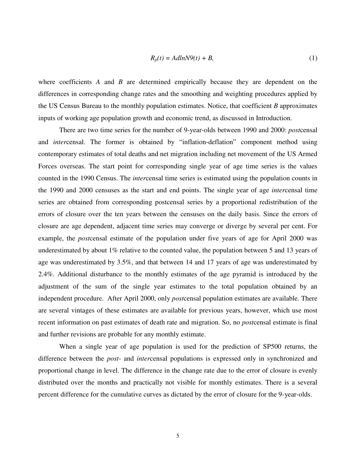$$
R_p(t) = AdlnN9(t) + B,\t\t(1)
$$

where coefficients *A* and *B* are determined empirically because they are dependent on the differences in corresponding change rates and the smoothing and weighting procedures applied by the US Census Bureau to the monthly population estimates. Notice, that coefficient *B* approximates inputs of working age population growth and economic trend, as discussed in Introduction.

 There are two time series for the number of 9-year-olds between 1990 and 2000: *post*censal and *inter*censal. The former is obtained by "inflation-deflation" component method using contemporary estimates of total deaths and net migration including net movement of the US Armed Forces overseas. The start point for corresponding single year of age time series is the values counted in the 1990 Census. The *inter*censal time series is estimated using the population counts in the 1990 and 2000 censuses as the start and end points. The single year of age *inter*censal time series are obtained from corresponding postcensal series by a proportional redistribution of the errors of closure over the ten years between the censuses on the daily basis. Since the errors of closure are age dependent, adjacent time series may converge or diverge by several per cent. For example, the *post*censal estimate of the population under five years of age for April 2000 was underestimated by about 1% relative to the counted value, the population between 5 and 13 years of age was underestimated by 3.5%, and that between 14 and 17 years of age was underestimated by 2.4%. Additional disturbance to the monthly estimates of the age pyramid is introduced by the adjustment of the sum of the single year estimates to the total population obtained by an independent procedure. After April 2000, only *post*censal population estimates are available. There are several vintages of these estimates are available for previous years, however, which use most recent information on past estimates of death rate and migration. So, no *post*censal estimate is final and further revisions are probable for any monthly estimate.

 When a single year of age population is used for the prediction of SP500 returns, the difference between the *post-* and *inter*censal populations is expressed only in synchronized and proportional change in level. The difference in the change rate due to the error of closure is evenly distributed over the months and practically not visible for monthly estimates. There is a several percent difference for the cumulative curves as dictated by the error of closure for the 9-year-olds.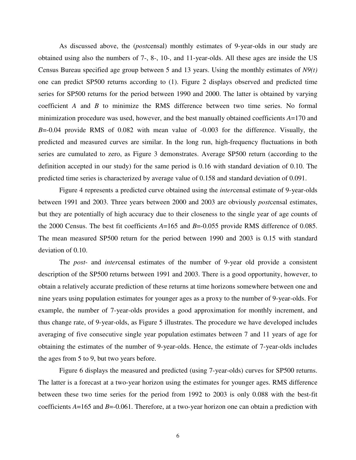As discussed above, the (*post*censal) monthly estimates of 9-year-olds in our study are obtained using also the numbers of 7-, 8-, 10-, and 11-year-olds. All these ages are inside the US Census Bureau specified age group between 5 and 13 years. Using the monthly estimates of *N9(t)* one can predict SP500 returns according to (1). Figure 2 displays observed and predicted time series for SP500 returns for the period between 1990 and 2000. The latter is obtained by varying coefficient *A* and *B* to minimize the RMS difference between two time series. No formal minimization procedure was used, however, and the best manually obtained coefficients *A*=170 and *B*=-0.04 provide RMS of 0.082 with mean value of -0.003 for the difference. Visually, the predicted and measured curves are similar. In the long run, high-frequency fluctuations in both series are cumulated to zero, as Figure 3 demonstrates. Average SP500 return (according to the definition accepted in our study) for the same period is 0.16 with standard deviation of 0.10. The predicted time series is characterized by average value of 0.158 and standard deviation of 0.091.

 Figure 4 represents a predicted curve obtained using the *inter*censal estimate of 9-year-olds between 1991 and 2003. Three years between 2000 and 2003 are obviously *post*censal estimates, but they are potentially of high accuracy due to their closeness to the single year of age counts of the 2000 Census. The best fit coefficients *A*=165 and *B*=-0.055 provide RMS difference of 0.085. The mean measured SP500 return for the period between 1990 and 2003 is 0.15 with standard deviation of 0.10.

 The *post*- and *inter*censal estimates of the number of 9-year old provide a consistent description of the SP500 returns between 1991 and 2003. There is a good opportunity, however, to obtain a relatively accurate prediction of these returns at time horizons somewhere between one and nine years using population estimates for younger ages as a proxy to the number of 9-year-olds. For example, the number of 7-year-olds provides a good approximation for monthly increment, and thus change rate, of 9-year-olds, as Figure 5 illustrates. The procedure we have developed includes averaging of five consecutive single year population estimates between 7 and 11 years of age for obtaining the estimates of the number of 9-year-olds. Hence, the estimate of 7-year-olds includes the ages from 5 to 9, but two years before.

Figure 6 displays the measured and predicted (using 7-year-olds) curves for SP500 returns. The latter is a forecast at a two-year horizon using the estimates for younger ages. RMS difference between these two time series for the period from 1992 to 2003 is only 0.088 with the best-fit coefficients *A*=165 and *B*=-0.061. Therefore, at a two-year horizon one can obtain a prediction with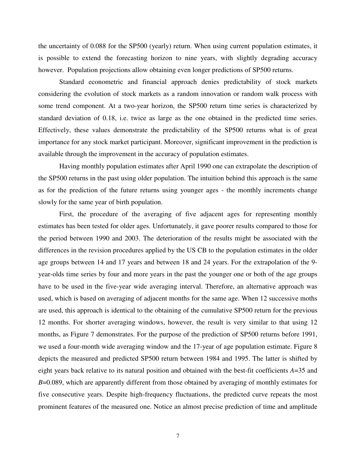the uncertainty of 0.088 for the SP500 (yearly) return. When using current population estimates, it is possible to extend the forecasting horizon to nine years, with slightly degrading accuracy however. Population projections allow obtaining even longer predictions of SP500 returns.

Standard econometric and financial approach denies predictability of stock markets considering the evolution of stock markets as a random innovation or random walk process with some trend component. At a two-year horizon, the SP500 return time series is characterized by standard deviation of 0.18, i.e. twice as large as the one obtained in the predicted time series. Effectively, these values demonstrate the predictability of the SP500 returns what is of great importance for any stock market participant. Moreover, significant improvement in the prediction is available through the improvement in the accuracy of population estimates.

 Having monthly population estimates after April 1990 one can extrapolate the description of the SP500 returns in the past using older population. The intuition behind this approach is the same as for the prediction of the future returns using younger ages - the monthly increments change slowly for the same year of birth population.

First, the procedure of the averaging of five adjacent ages for representing monthly estimates has been tested for older ages. Unfortunately, it gave poorer results compared to those for the period between 1990 and 2003. The deterioration of the results might be associated with the differences in the revision procedures applied by the US CB to the population estimates in the older age groups between 14 and 17 years and between 18 and 24 years. For the extrapolation of the 9 year-olds time series by four and more years in the past the younger one or both of the age groups have to be used in the five-year wide averaging interval. Therefore, an alternative approach was used, which is based on averaging of adjacent months for the same age. When 12 successive moths are used, this approach is identical to the obtaining of the cumulative SP500 return for the previous 12 months. For shorter averaging windows, however, the result is very similar to that using 12 months, as Figure 7 demonstrates. For the purpose of the prediction of SP500 returns before 1991, we used a four-month wide averaging window and the 17-year of age population estimate. Figure 8 depicts the measured and predicted SP500 return between 1984 and 1995. The latter is shifted by eight years back relative to its natural position and obtained with the best-fit coefficients *A*=35 and *B*=0.089, which are apparently different from those obtained by averaging of monthly estimates for five consecutive years. Despite high-frequency fluctuations, the predicted curve repeats the most prominent features of the measured one. Notice an almost precise prediction of time and amplitude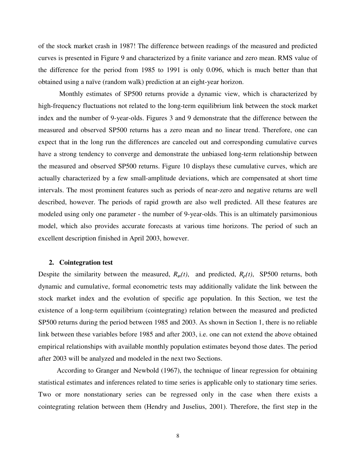of the stock market crash in 1987! The difference between readings of the measured and predicted curves is presented in Figure 9 and characterized by a finite variance and zero mean. RMS value of the difference for the period from 1985 to 1991 is only 0.096, which is much better than that obtained using a naïve (random walk) prediction at an eight-year horizon.

 Monthly estimates of SP500 returns provide a dynamic view, which is characterized by high-frequency fluctuations not related to the long-term equilibrium link between the stock market index and the number of 9-year-olds. Figures 3 and 9 demonstrate that the difference between the measured and observed SP500 returns has a zero mean and no linear trend. Therefore, one can expect that in the long run the differences are canceled out and corresponding cumulative curves have a strong tendency to converge and demonstrate the unbiased long-term relationship between the measured and observed SP500 returns. Figure 10 displays these cumulative curves, which are actually characterized by a few small-amplitude deviations, which are compensated at short time intervals. The most prominent features such as periods of near-zero and negative returns are well described, however. The periods of rapid growth are also well predicted. All these features are modeled using only one parameter - the number of 9-year-olds. This is an ultimately parsimonious model, which also provides accurate forecasts at various time horizons. The period of such an excellent description finished in April 2003, however.

## **2. Cointegration test**

Despite the similarity between the measured,  $R_m(t)$ , and predicted,  $R_p(t)$ , SP500 returns, both dynamic and cumulative, formal econometric tests may additionally validate the link between the stock market index and the evolution of specific age population. In this Section, we test the existence of a long-term equilibrium (cointegrating) relation between the measured and predicted SP500 returns during the period between 1985 and 2003. As shown in Section 1, there is no reliable link between these variables before 1985 and after 2003, i.e. one can not extend the above obtained empirical relationships with available monthly population estimates beyond those dates. The period after 2003 will be analyzed and modeled in the next two Sections.

According to Granger and Newbold (1967), the technique of linear regression for obtaining statistical estimates and inferences related to time series is applicable only to stationary time series. Two or more nonstationary series can be regressed only in the case when there exists a cointegrating relation between them (Hendry and Juselius, 2001). Therefore, the first step in the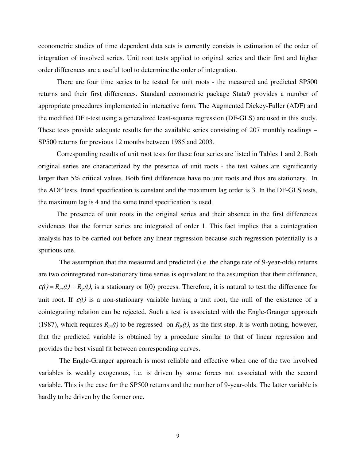econometric studies of time dependent data sets is currently consists is estimation of the order of integration of involved series. Unit root tests applied to original series and their first and higher order differences are a useful tool to determine the order of integration.

There are four time series to be tested for unit roots - the measured and predicted SP500 returns and their first differences. Standard econometric package Stata9 provides a number of appropriate procedures implemented in interactive form. The Augmented Dickey-Fuller (ADF) and the modified DF t-test using a generalized least-squares regression (DF-GLS) are used in this study. These tests provide adequate results for the available series consisting of 207 monthly readings – SP500 returns for previous 12 months between 1985 and 2003.

Corresponding results of unit root tests for these four series are listed in Tables 1 and 2. Both original series are characterized by the presence of unit roots - the test values are significantly larger than 5% critical values. Both first differences have no unit roots and thus are stationary. In the ADF tests, trend specification is constant and the maximum lag order is 3. In the DF-GLS tests, the maximum lag is 4 and the same trend specification is used.

The presence of unit roots in the original series and their absence in the first differences evidences that the former series are integrated of order 1. This fact implies that a cointegration analysis has to be carried out before any linear regression because such regression potentially is a spurious one.

The assumption that the measured and predicted (i.e. the change rate of 9-year-olds) returns are two cointegrated non-stationary time series is equivalent to the assumption that their difference,  $\varepsilon(t) = R_m(t) - R_p(t)$ , is a stationary or I(0) process. Therefore, it is natural to test the difference for unit root. If  $\varepsilon(t)$  is a non-stationary variable having a unit root, the null of the existence of a cointegrating relation can be rejected. Such a test is associated with the Engle-Granger approach (1987), which requires  $R_m(t)$  to be regressed on  $R_p(t)$ , as the first step. It is worth noting, however, that the predicted variable is obtained by a procedure similar to that of linear regression and provides the best visual fit between corresponding curves.

The Engle-Granger approach is most reliable and effective when one of the two involved variables is weakly exogenous, i.e. is driven by some forces not associated with the second variable. This is the case for the SP500 returns and the number of 9-year-olds. The latter variable is hardly to be driven by the former one.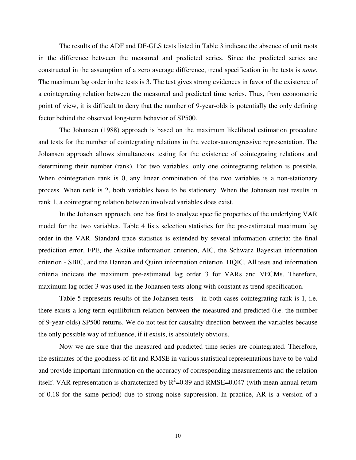The results of the ADF and DF-GLS tests listed in Table 3 indicate the absence of unit roots in the difference between the measured and predicted series. Since the predicted series are constructed in the assumption of a zero average difference, trend specification in the tests is *none*. The maximum lag order in the tests is 3. The test gives strong evidences in favor of the existence of a cointegrating relation between the measured and predicted time series. Thus, from econometric point of view, it is difficult to deny that the number of 9-year-olds is potentially the only defining factor behind the observed long-term behavior of SP500.

The Johansen (1988) approach is based on the maximum likelihood estimation procedure and tests for the number of cointegrating relations in the vector-autoregressive representation. The Johansen approach allows simultaneous testing for the existence of cointegrating relations and determining their number (rank). For two variables, only one cointegrating relation is possible. When cointegration rank is 0, any linear combination of the two variables is a non-stationary process. When rank is 2, both variables have to be stationary. When the Johansen test results in rank 1, a cointegrating relation between involved variables does exist.

In the Johansen approach, one has first to analyze specific properties of the underlying VAR model for the two variables. Table 4 lists selection statistics for the pre-estimated maximum lag order in the VAR. Standard trace statistics is extended by several information criteria: the final prediction error, FPE, the Akaike information criterion, AIC, the Schwarz Bayesian information criterion - SBIC, and the Hannan and Quinn information criterion, HQIC. All tests and information criteria indicate the maximum pre-estimated lag order 3 for VARs and VECMs. Therefore, maximum lag order 3 was used in the Johansen tests along with constant as trend specification.

Table 5 represents results of the Johansen tests – in both cases cointegrating rank is 1, i.e. there exists a long-term equilibrium relation between the measured and predicted (i.e. the number of 9-year-olds) SP500 returns. We do not test for causality direction between the variables because the only possible way of influence, if it exists, is absolutely obvious.

Now we are sure that the measured and predicted time series are cointegrated. Therefore, the estimates of the goodness-of-fit and RMSE in various statistical representations have to be valid and provide important information on the accuracy of corresponding measurements and the relation itself. VAR representation is characterized by  $R^2$ =0.89 and RMSE=0.047 (with mean annual return of 0.18 for the same period) due to strong noise suppression. In practice, AR is a version of a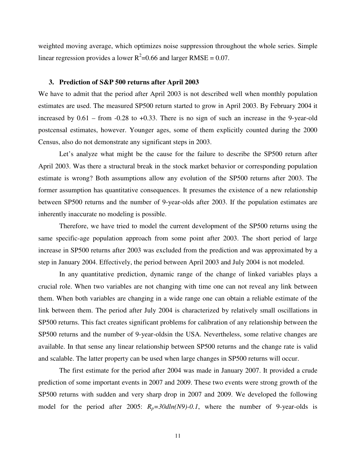weighted moving average, which optimizes noise suppression throughout the whole series. Simple linear regression provides a lower  $R^2$ =0.66 and larger RMSE = 0.07.

#### **3. Prediction of S&P 500 returns after April 2003**

We have to admit that the period after April 2003 is not described well when monthly population estimates are used. The measured SP500 return started to grow in April 2003. By February 2004 it increased by  $0.61$  – from  $-0.28$  to  $+0.33$ . There is no sign of such an increase in the 9-year-old postcensal estimates, however. Younger ages, some of them explicitly counted during the 2000 Census, also do not demonstrate any significant steps in 2003.

 Let's analyze what might be the cause for the failure to describe the SP500 return after April 2003. Was there a structural break in the stock market behavior or corresponding population estimate is wrong? Both assumptions allow any evolution of the SP500 returns after 2003. The former assumption has quantitative consequences. It presumes the existence of a new relationship between SP500 returns and the number of 9-year-olds after 2003. If the population estimates are inherently inaccurate no modeling is possible.

 Therefore, we have tried to model the current development of the SP500 returns using the same specific-age population approach from some point after 2003. The short period of large increase in SP500 returns after 2003 was excluded from the prediction and was approximated by a step in January 2004. Effectively, the period between April 2003 and July 2004 is not modeled.

 In any quantitative prediction, dynamic range of the change of linked variables plays a crucial role. When two variables are not changing with time one can not reveal any link between them. When both variables are changing in a wide range one can obtain a reliable estimate of the link between them. The period after July 2004 is characterized by relatively small oscillations in SP500 returns. This fact creates significant problems for calibration of any relationship between the SP500 returns and the number of 9-year-oldsin the USA. Nevertheless, some relative changes are available. In that sense any linear relationship between SP500 returns and the change rate is valid and scalable. The latter property can be used when large changes in SP500 returns will occur.

 The first estimate for the period after 2004 was made in January 2007. It provided a crude prediction of some important events in 2007 and 2009. These two events were strong growth of the SP500 returns with sudden and very sharp drop in 2007 and 2009. We developed the following model for the period after 2005:  $R_p = 30dln(N9) - 0.1$ , where the number of 9-year-olds is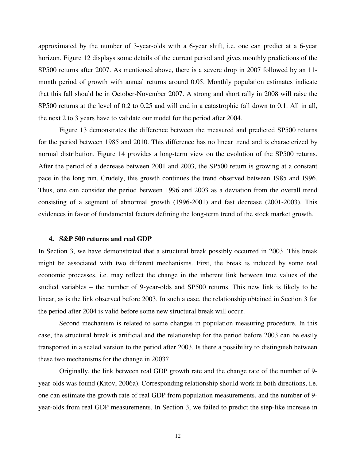approximated by the number of 3-year-olds with a 6-year shift, i.e. one can predict at a 6-year horizon. Figure 12 displays some details of the current period and gives monthly predictions of the SP500 returns after 2007. As mentioned above, there is a severe drop in 2007 followed by an 11 month period of growth with annual returns around 0.05. Monthly population estimates indicate that this fall should be in October-November 2007. A strong and short rally in 2008 will raise the SP500 returns at the level of 0.2 to 0.25 and will end in a catastrophic fall down to 0.1. All in all, the next 2 to 3 years have to validate our model for the period after 2004.

Figure 13 demonstrates the difference between the measured and predicted SP500 returns for the period between 1985 and 2010. This difference has no linear trend and is characterized by normal distribution. Figure 14 provides a long-term view on the evolution of the SP500 returns. After the period of a decrease between 2001 and 2003, the SP500 return is growing at a constant pace in the long run. Crudely, this growth continues the trend observed between 1985 and 1996. Thus, one can consider the period between 1996 and 2003 as a deviation from the overall trend consisting of a segment of abnormal growth (1996-2001) and fast decrease (2001-2003). This evidences in favor of fundamental factors defining the long-term trend of the stock market growth.

#### **4. S**&**P 500 returns and real GDP**

In Section 3, we have demonstrated that a structural break possibly occurred in 2003. This break might be associated with two different mechanisms. First, the break is induced by some real economic processes, i.e. may reflect the change in the inherent link between true values of the studied variables – the number of 9-year-olds and SP500 returns. This new link is likely to be linear, as is the link observed before 2003. In such a case, the relationship obtained in Section 3 for the period after 2004 is valid before some new structural break will occur.

Second mechanism is related to some changes in population measuring procedure. In this case, the structural break is artificial and the relationship for the period before 2003 can be easily transported in a scaled version to the period after 2003. Is there a possibility to distinguish between these two mechanisms for the change in 2003?

Originally, the link between real GDP growth rate and the change rate of the number of 9 year-olds was found (Kitov, 2006a). Corresponding relationship should work in both directions, i.e. one can estimate the growth rate of real GDP from population measurements, and the number of 9 year-olds from real GDP measurements. In Section 3, we failed to predict the step-like increase in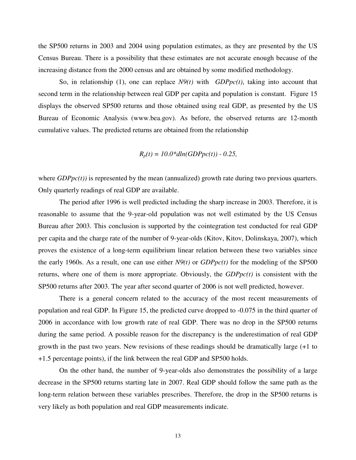the SP500 returns in 2003 and 2004 using population estimates, as they are presented by the US Census Bureau. There is a possibility that these estimates are not accurate enough because of the increasing distance from the 2000 census and are obtained by some modified methodology.

So, in relationship (1), one can replace *N9(t)* with *GDPpc(t)*, taking into account that second term in the relationship between real GDP per capita and population is constant. Figure 15 displays the observed SP500 returns and those obtained using real GDP, as presented by the US Bureau of Economic Analysis (www.bea.gov). As before, the observed returns are 12-month cumulative values. The predicted returns are obtained from the relationship

$$
R_p(t) = 10.0* dln(GDPpc(t)) - 0.25,
$$

where *GDPpc(t))* is represented by the mean (annualized) growth rate during two previous quarters. Only quarterly readings of real GDP are available.

The period after 1996 is well predicted including the sharp increase in 2003. Therefore, it is reasonable to assume that the 9-year-old population was not well estimated by the US Census Bureau after 2003. This conclusion is supported by the cointegration test conducted for real GDP per capita and the charge rate of the number of 9-year-olds (Kitov, Kitov, Dolinskaya, 2007), which proves the existence of a long-term equilibrium linear relation between these two variables since the early 1960s. As a result, one can use either *N9(t)* or *GDPpc(t)* for the modeling of the SP500 returns, where one of them is more appropriate. Obviously, the *GDPpc(t)* is consistent with the SP500 returns after 2003. The year after second quarter of 2006 is not well predicted, however.

There is a general concern related to the accuracy of the most recent measurements of population and real GDP. In Figure 15, the predicted curve dropped to -0.075 in the third quarter of 2006 in accordance with low growth rate of real GDP. There was no drop in the SP500 returns during the same period. A possible reason for the discrepancy is the underestimation of real GDP growth in the past two years. New revisions of these readings should be dramatically large (+1 to +1.5 percentage points), if the link between the real GDP and SP500 holds.

On the other hand, the number of 9-year-olds also demonstrates the possibility of a large decrease in the SP500 returns starting late in 2007. Real GDP should follow the same path as the long-term relation between these variables prescribes. Therefore, the drop in the SP500 returns is very likely as both population and real GDP measurements indicate.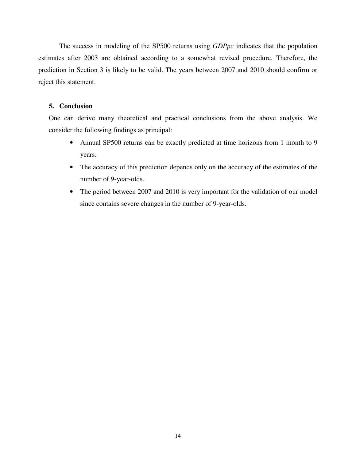The success in modeling of the SP500 returns using *GDPpc* indicates that the population estimates after 2003 are obtained according to a somewhat revised procedure. Therefore, the prediction in Section 3 is likely to be valid. The years between 2007 and 2010 should confirm or reject this statement.

# **5. Conclusion**

One can derive many theoretical and practical conclusions from the above analysis. We consider the following findings as principal:

- Annual SP500 returns can be exactly predicted at time horizons from 1 month to 9 years.
- The accuracy of this prediction depends only on the accuracy of the estimates of the number of 9-year-olds.
- The period between 2007 and 2010 is very important for the validation of our model since contains severe changes in the number of 9-year-olds.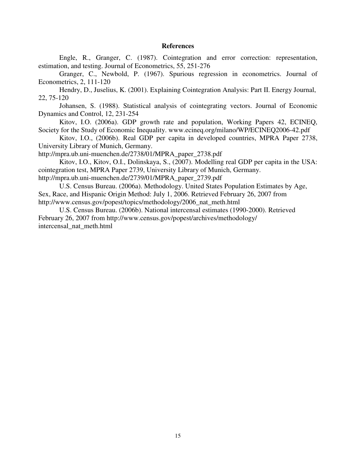## **References**

Engle, R., Granger, C. (1987). Cointegration and error correction: representation, estimation, and testing. Journal of Econometrics, 55, 251-276

Granger, C., Newbold, P. (1967). Spurious regression in econometrics. Journal of Econometrics, 2, 111-120

Hendry, D., Juselius, K. (2001). Explaining Cointegration Analysis: Part II. Energy Journal, 22, 75-120

Johansen, S. (1988). Statistical analysis of cointegrating vectors. Journal of Economic Dynamics and Control, 12, 231-254

Kitov, I.O. (2006a). GDP growth rate and population, Working Papers 42, ECINEQ, Society for the Study of Economic Inequality. www.ecineq.org/milano/WP/ECINEQ2006-42.pdf

Kitov, I.O., (2006b). Real GDP per capita in developed countries, MPRA Paper 2738, University Library of Munich, Germany.

http://mpra.ub.uni-muenchen.de/2738/01/MPRA\_paper\_2738.pdf

Kitov, I.O., Kitov, O.I., Dolinskaya, S., (2007). Modelling real GDP per capita in the USA: cointegration test, MPRA Paper 2739, University Library of Munich, Germany. http://mpra.ub.uni-muenchen.de/2739/01/MPRA\_paper\_2739.pdf

 U.S. Census Bureau. (2006a). Methodology. United States Population Estimates by Age, Sex, Race, and Hispanic Origin Method: July 1, 2006. Retrieved February 26, 2007 from http://www.census.gov/popest/topics/methodology/2006\_nat\_meth.html

U.S. Census Bureau. (2006b). National intercensal estimates (1990-2000). Retrieved February 26, 2007 from http://www.census.gov/popest/archives/methodology/ intercensal\_nat\_meth.html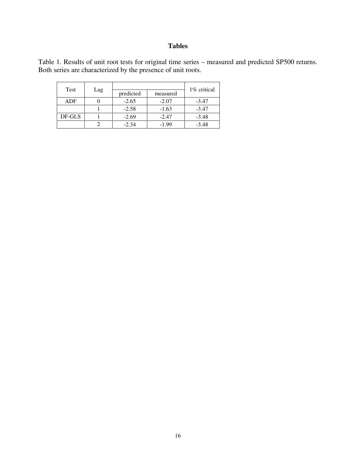# **Tables**

Table 1. Results of unit root tests for original time series – measured and predicted SP500 returns. Both series are characterized by the presence of unit roots.

| Test   |     |           | 1% critical |         |
|--------|-----|-----------|-------------|---------|
|        | Lag | predicted | measured    |         |
| ADF    |     | $-2.65$   | $-2.07$     | $-3.47$ |
|        |     | $-2.58$   | $-1.63$     | $-3.47$ |
| DF-GLS |     | $-2.69$   | $-2.47$     | $-3.48$ |
|        |     | $-2.34$   | $-1.99$     | $-3.48$ |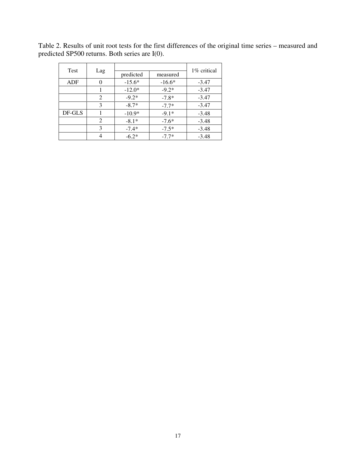| <b>Test</b> | Lag |           | 1\% critical |         |
|-------------|-----|-----------|--------------|---------|
|             |     | predicted | measured     |         |
| ADF         |     | $-15.6*$  | $-16.6*$     | $-3.47$ |
|             |     | $-12.0*$  | $-9.2*$      | $-3.47$ |
|             | 2   | $-9.2*$   | $-7.8*$      | $-3.47$ |
|             | 3   | $-8.7*$   | $-7.7*$      | $-3.47$ |
| DF-GLS      |     | $-10.9*$  | $-9.1*$      | $-3.48$ |
|             | 2   | $-8.1*$   | $-7.6*$      | $-3.48$ |
|             | 3   | $-7.4*$   | $-7.5*$      | $-3.48$ |
|             |     | $-6.2*$   | $-7.7*$      | $-3.48$ |

Table 2. Results of unit root tests for the first differences of the original time series – measured and predicted SP500 returns. Both series are I(0).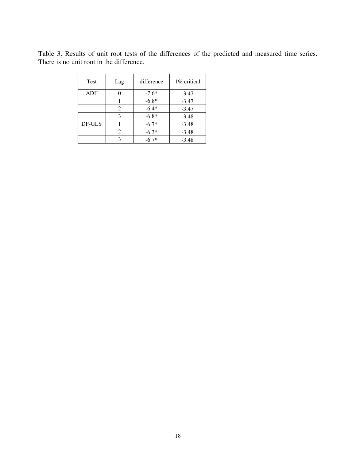| Test   | Lag | difference | 1\% critical |
|--------|-----|------------|--------------|
| ADF    |     | $-7.6*$    | $-3.47$      |
|        |     | $-6.8*$    | $-3.47$      |
|        | 2   | $-6.4*$    | $-3.47$      |
|        | 3   | $-6.8*$    | $-3.48$      |
| DF-GLS |     | $-6.7*$    | $-3.48$      |
|        |     | $-6.3*$    | $-3.48$      |
|        |     | $-6.7*$    | $-3.48$      |

Table 3. Results of unit root tests of the differences of the predicted and measured time series. There is no unit root in the difference.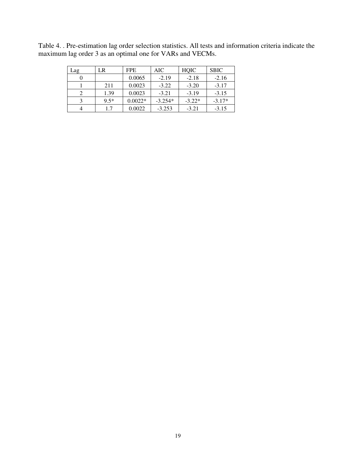| Lag | LR     | <b>FPE</b> | AIC       | HQIC     | <b>SBIC</b> |
|-----|--------|------------|-----------|----------|-------------|
|     |        | 0.0065     | $-2.19$   | $-2.18$  | $-2.16$     |
|     | 211    | 0.0023     | $-3.22$   | $-3.20$  | $-3.17$     |
|     | 1.39   | 0.0023     | $-3.21$   | $-3.19$  | $-3.15$     |
|     | $9.5*$ | $0.0022*$  | $-3.254*$ | $-3.22*$ | $-3.17*$    |
|     | 1.7    | 0.0022     | $-3.253$  | $-3.21$  | $-3.15$     |

Table 4. . Pre-estimation lag order selection statistics. All tests and information criteria indicate the maximum lag order 3 as an optimal one for VARs and VECMs.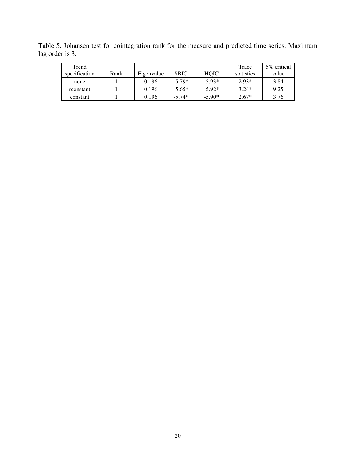Table 5. Johansen test for cointegration rank for the measure and predicted time series. Maximum lag order is 3.

| Trend         |      |            |             |          | Trace      | 5% critical |
|---------------|------|------------|-------------|----------|------------|-------------|
| specification | Rank | Eigenvalue | <b>SBIC</b> | HOIC     | statistics | value       |
| none          |      | 0.196      | $-5.79*$    | $-5.93*$ | $2.93*$    | 3.84        |
| rconstant     |      | 0.196      | $-5.65*$    | $-5.92*$ | $3.24*$    | 9.25        |
| constant      |      | 0.196      | $-5.74*$    | $-5.90*$ | $2.67*$    | 3.76        |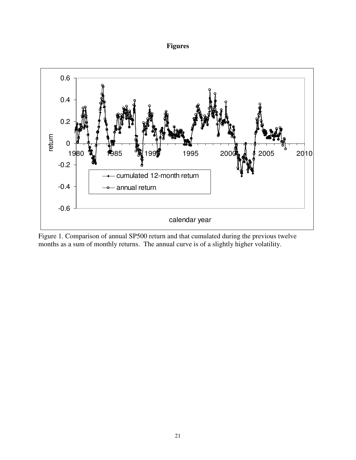# **Figures**



Figure 1. Comparison of annual SP500 return and that cumulated during the previous twelve months as a sum of monthly returns. The annual curve is of a slightly higher volatility.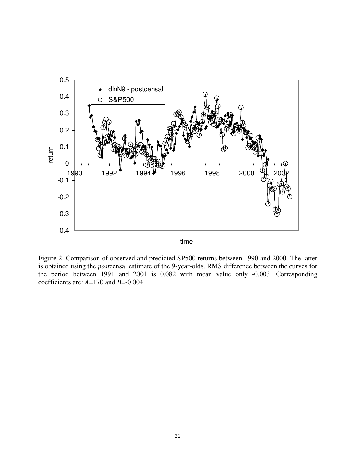

Figure 2. Comparison of observed and predicted SP500 returns between 1990 and 2000. The latter is obtained using the *post*censal estimate of the 9-year-olds. RMS difference between the curves for the period between 1991 and 2001 is 0.082 with mean value only -0.003. Corresponding coefficients are: *A*=170 and *B*=-0.004.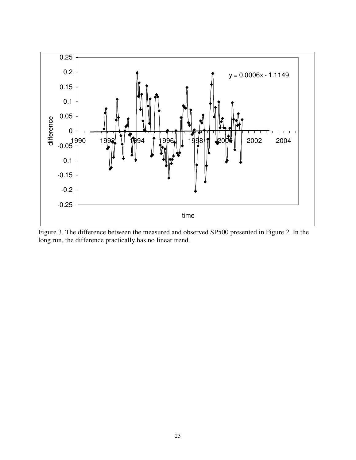

Figure 3. The difference between the measured and observed SP500 presented in Figure 2. In the long run, the difference practically has no linear trend.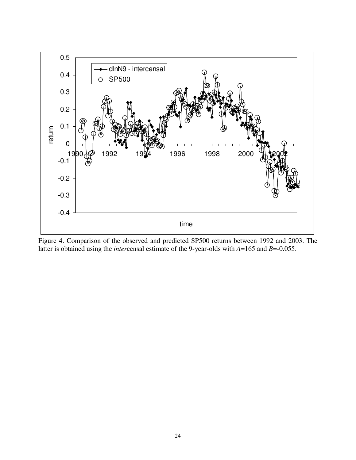

Figure 4. Comparison of the observed and predicted SP500 returns between 1992 and 2003. The latter is obtained using the *inter*censal estimate of the 9-year-olds with *A*=165 and *B*=-0.055.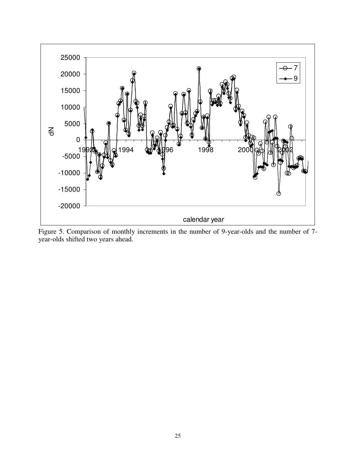

Figure 5. Comparison of monthly increments in the number of 9-year-olds and the number of 7 year-olds shifted two years ahead.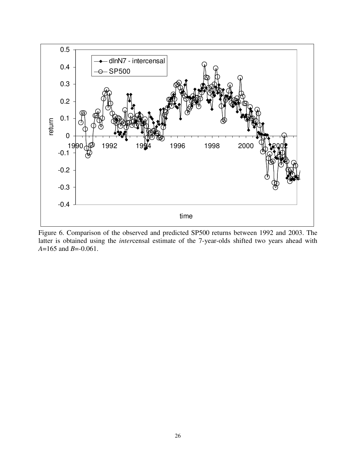

Figure 6. Comparison of the observed and predicted SP500 returns between 1992 and 2003. The latter is obtained using the *inter*censal estimate of the 7-year-olds shifted two years ahead with *A*=165 and *B*=-0.061.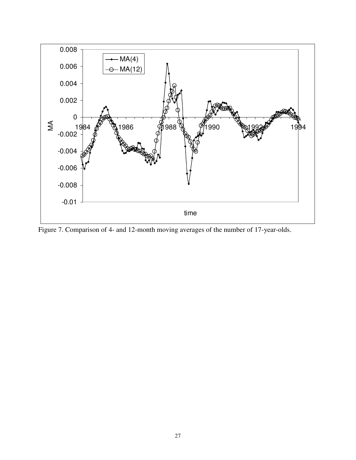

Figure 7. Comparison of 4- and 12-month moving averages of the number of 17-year-olds.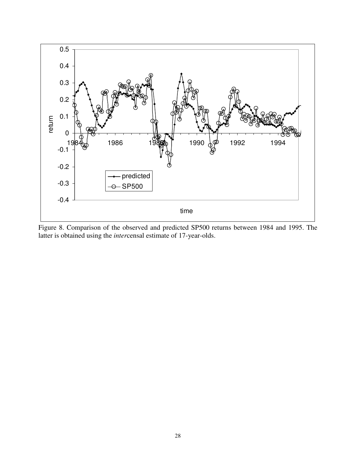

Figure 8. Comparison of the observed and predicted SP500 returns between 1984 and 1995. The latter is obtained using the *inter*censal estimate of 17-year-olds.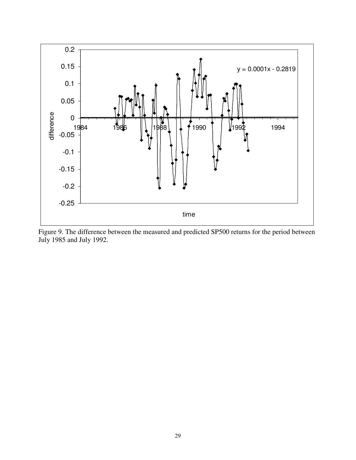

Figure 9. The difference between the measured and predicted SP500 returns for the period between July 1985 and July 1992.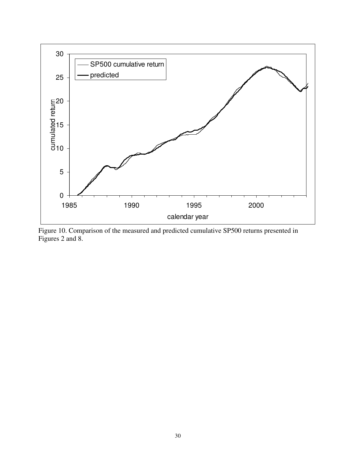

Figure 10. Comparison of the measured and predicted cumulative SP500 returns presented in Figures 2 and 8.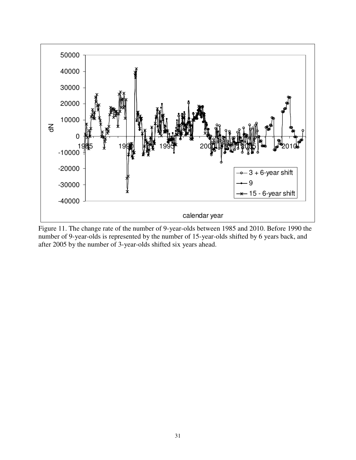

Figure 11. The change rate of the number of 9-year-olds between 1985 and 2010. Before 1990 the number of 9-year-olds is represented by the number of 15-year-olds shifted by 6 years back, and after 2005 by the number of 3-year-olds shifted six years ahead.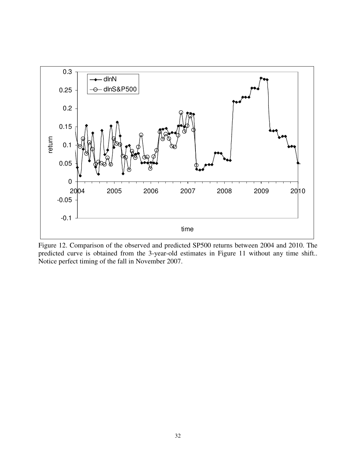

Figure 12. Comparison of the observed and predicted SP500 returns between 2004 and 2010. The predicted curve is obtained from the 3-year-old estimates in Figure 11 without any time shift.. Notice perfect timing of the fall in November 2007.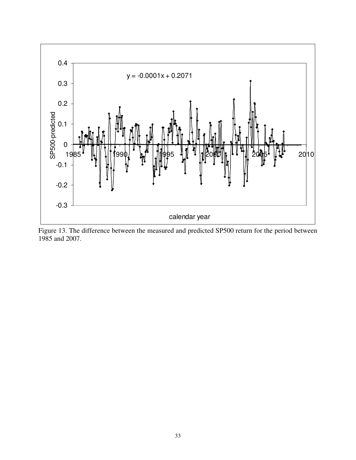

Figure 13. The difference between the measured and predicted SP500 return for the period between 1985 and 2007.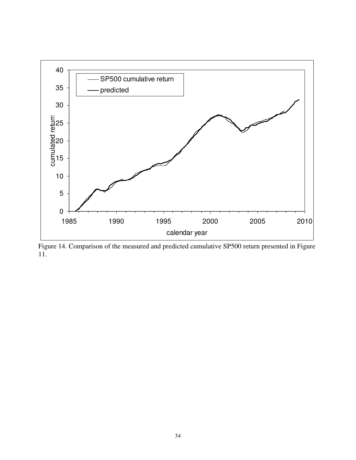

Figure 14. Comparison of the measured and predicted cumulative SP500 return presented in Figure 11.